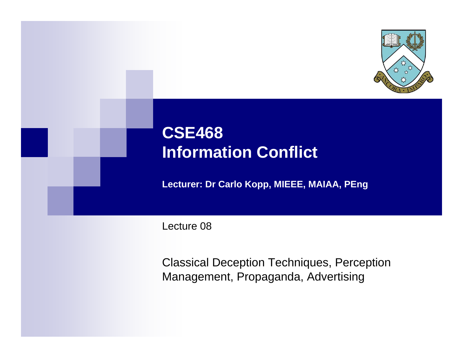

# **CSE468 Information Conflict**

**Lecturer: Dr Carlo Kopp, MIEEE, MAIAA, PEng**

Lecture 08

Classical Deception Techniques, Perception Management, Propaganda, Advertising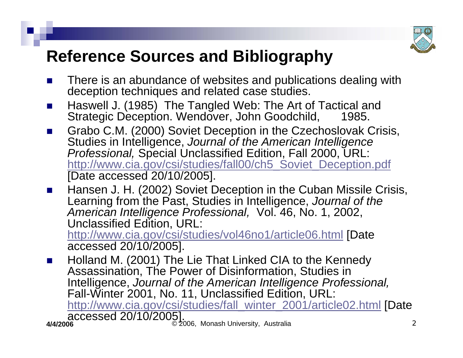

# **Reference Sources and Bibliography**

- F. There is an abundance of websites and publications dealing with deception techniques and related case studies.
- $\mathbf{L}$ ■ Haswell J. (1985) The Tangled Web: The Art of Tactical and Strategic Deception. Wendover, John Goodchild, 1985.
- $\mathcal{L}_{\text{max}}$  Grabo C.M. (2000) Soviet Deception in the Czechoslovak Crisis, Studies in Intelligence, *Journal of the American Intelligence Professional,* Special Unclassified Edition, Fall 2000, URL: [http://www.cia.gov/csi/studies/fall00/ch5\\_Soviet\\_Deception.pdf](http://www.cia.gov/csi/studies/fall00/ch5_Soviet_Deception.pdf) [Date accessed 20/10/2005].

 $\mathcal{L}^{\text{max}}$  Hansen J. H. (2002) Soviet Deception in the Cuban Missile Crisis, Learning fro m the Past, Studies in Intelligence, *Journal of the American Intelligence Professional,* Vol. 46, No. 1, 2002, Unclassified Edition, URL:

<http://www.cia.gov/csi/studies/vol46no1/article06.html> [Date accessed 20/10/2005].

**4/4/2006** © 2006, Monash University, Australia  $\mathcal{L}_{\mathcal{A}}$  Holland M. (2001) The Lie That Linked CIA to the Kennedy Assassination, The Power of Disinformation, Studies in Intelligence, *Journal of the American Intelligence Professional,* Fall-Winter 2001, No. 11, Unclassified Edition, URL: [http://www.cia.gov/csi/studies/fall\\_winter\\_2001/article02.html](http://www.cia.gov/csi/studies/fall_winter_2001/article02.html) [Date accessed 20/10/2005].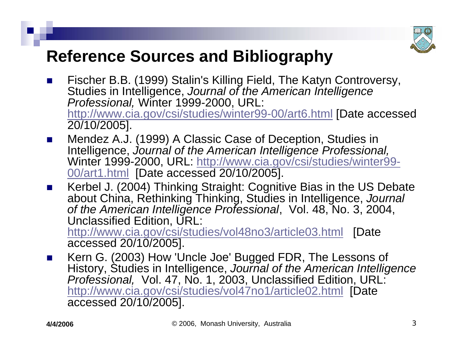

## **Reference Sources and Bibliography**

- F. ■ Fischer B.B. (1999) Stalin's Killing Field, The Katyn Controversy, Studies in Intelligence, *Journal of the American Intelligence Professional,* Winter 1999-2000, URL: <http://www.cia.gov/csi/studies/winter99-00/art6.html> [Date accessed 20/10/2005].
- $\mathbf{L}$  Mendez A.J. (1999) A Classic Case of Deception, Studies in Intelligence, *Journal of the American Intelligence Professional,* [Winter 1999-2000, URL: http://www.cia.gov/csi/studies/winter99-](http://www.cia.gov/csi/studies/winter99-00/art1.html) [00/art1.html](http://www.cia.gov/csi/studies/winter99-00/art1.html) [\[Date accessed 20/10/2005\].](http://www.cia.gov/csi/studies/winter99-00/art1.html)
- $\mathcal{L}^{\text{max}}$  Kerbel J. (2004) Thinking Straight: Cognitive Bias in the US Debate about China, Rethinking Thinking, Studies in Intelligence, *Journal of the American Intelligence Professional*, Vol. 48, No. 3, 2004, Unclassified Edition, URL: http://www.cia.gov/csi/studies/vol48no3/article03.html [Date

accessed 20/10/2005].

 $\mathcal{L}(\mathcal{A})$ ■ Kern G. (2003) How 'Uncle Joe' Bugged FDR, The Lessons of History, Studies in Intelligence, *Journal of the American Intelligence Professional,* Vol. 47, No. 1, 2003, Unclassified Edition, URL: <http://www.cia.gov/csi/studies/vol47no1/article02.html> [Date accessed 20/10/2005].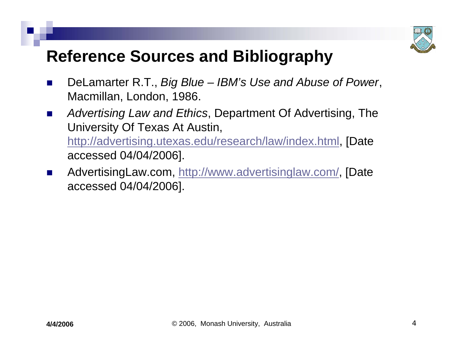

# **Reference Sources and Bibliography**

- H. DeLamarter R.T., *Big Blue – IBM's Use and Abuse of Power*, Macmillan, London, 1986.
- $\blacksquare$  *Advertising Law and Ethics*, Department Of Advertising, The University Of Texas At Austin, <http://advertising.utexas.edu/research/law/index.html>, [Date accessed 04/04/2006].
- **The Second Second**  AdvertisingLaw.com,<http://www.advertisinglaw.com/>, [Date accessed 04/04/2006].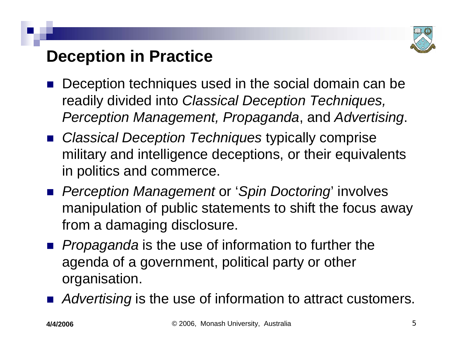

# **Deception in Practice**

- $\mathbb{R}^3$  Deception techniques used in the social domain can be readily divided into *Classical Deception Techniques, Perception Management, Propaganda*, and *Advertising*.
- *Classical Deception Techniques* typically comprise military and intelligence deceptions, or their equivalents in politics and commerce.
- *Perception Management* or '*Spin Doctoring*' involves manipulation of public statements to shift the focus away from a damaging disclosure.
- **Propaganda** is the use of information to further the agenda of a government, political party or other organisation.
- Advertising is the use of information to attract customers.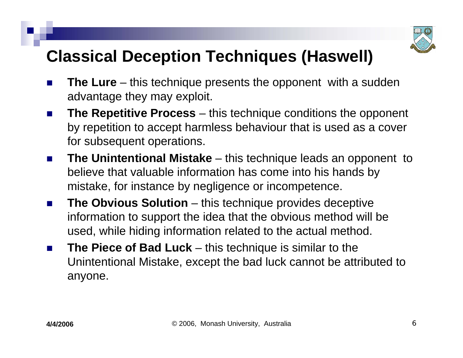

# **Classical Deception Techniques (Haswell)**

- H. **The Lure** – this technique presents the opponent with a sudden advantage they may exploit.
- F. **The Repetitive Process** – this technique conditions the opponent by repetition to accept harmless behaviour that is used as a cover for subsequent operations.
- $\sim 10$  **The Unintentional Mistake** – this technique leads an opponent to believe that valuable information has come into his hands by mistake, for instance by negligence or incompetence.
- $\sim$  **The Obvious Solution** – this technique provides deceptive information to support the idea that the obvious method will be used, while hiding information related to the actual method.
- **The State The Piece of Bad Luck** – this technique is similar to the Unintentional Mistake, except the bad luck cannot be attributed to anyone.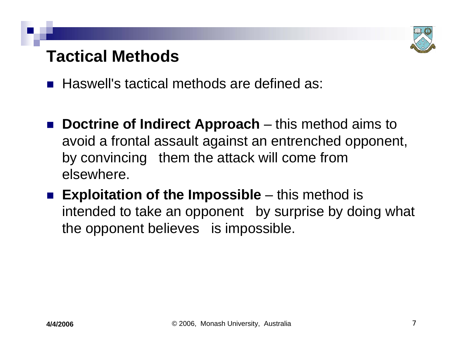

## **Tactical Methods**

■ Haswell's tactical methods are defined as:

- $\mathbb{R}^3$ **Doctrine of Indirect Approach** – this method aims to avoid a frontal assault against an entrenched opponent, by convincing them the attack will come from elsewhere.
- Exploitation of the Impossible this method is intended to take an opponent by surprise by doing what the opponent believes is impossible.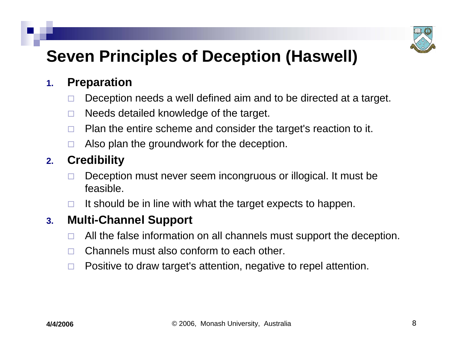

# **Seven Principles of Deception (Haswell)**

#### **1.Preparation**

- $\Box$ Deception needs a well defined aim and to be directed at a target.
- $\Box$ Needs detailed knowledge of the target.
- $\Box$ Plan the entire scheme and consider the target's reaction to it.
- $\Box$ Also plan the groundwork for the deception.

#### **2.Credibility**

- П Deception must never seem incongruous or illogical. It must be feasible.
- $\Box$ It should be in line with what the target expects to happen.

#### **3.Multi-Channel Support**

- $\Box$ All the false information on all channels must support the deception.
- $\Box$ Channels must also conform to each other.
- $\Box$ Positive to draw target's attention, negative to repel attention.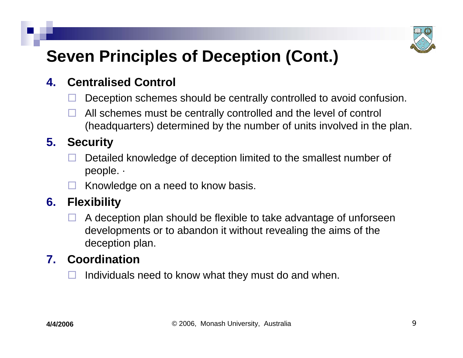

# **Seven Principles of Deception (Cont.)**

#### **4.Centralised Control**

- $\Box$ Deception schemes should be centrally controlled to avoid confusion.
- $\Box$  All schemes must be centrally controlled and the level of control (headquarters) determined by the number of units involved in the plan.

#### **5. Security**

- $\Box$  Detailed knowledge of deception limited to the smallest number of people. ·
- $\Box$ Knowledge on a need to know basis.

#### **6. Flexibility**

 $\Box$  A deception plan should be flexible to take advantage of unforseen developments or to abandon it without revealing the aims of the deception plan.

#### **7. Coordination**

 $\Box$ Individuals need to know what they must do and when.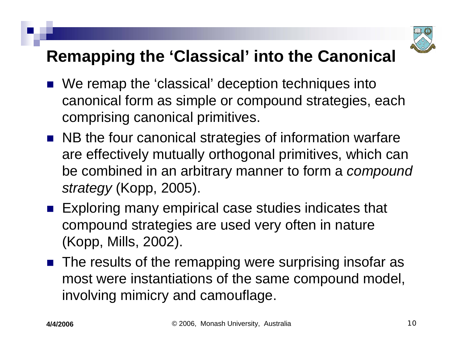

## **Remapping the 'Classical' into the Canonical**

- We remap the 'classical' deception techniques into canonical form as simple or compound strategies, each comprising canonical primitives.
- NB the four canonical strategies of information warfare are effectively mutually orthogonal primitives, which can be combined in an arbitrary manner to form a *compound strategy* (Kopp, 2005).
- Exploring many empirical case studies indicates that compound strategies are used very often in nature (Kopp, Mills, 2002).
- The results of the remapping were surprising insofar as most were instantiations of the same compound model, involving mimicry and camouflage.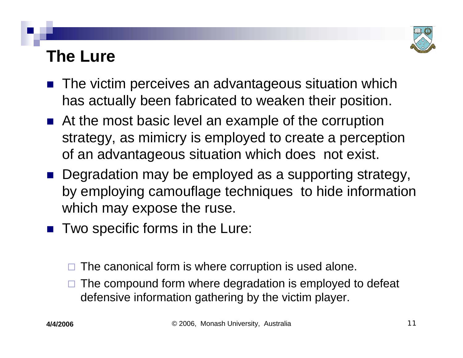

# **The Lure**

- The victim perceives an advantageous situation which has actually been fabricated to weaken their position.
- At the most basic level an example of the corruption strategy, as mimicry is employed to create a perception of an advantageous situation which does not exist.
- Degradation may be employed as a supporting strategy, by employing camouflage techniques to hide information which may expose the ruse.
- Two specific forms in the Lure:
	- □ The canonical form is where corruption is used alone.
	- $\Box$  The compound form where degradation is employed to defeat defensive information gathering by the victim player.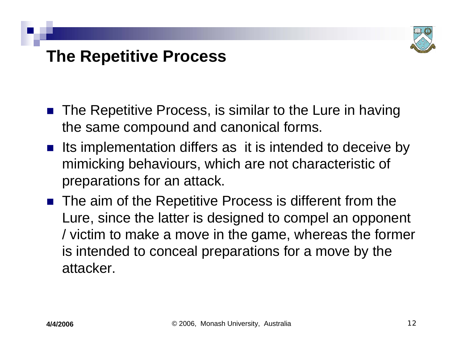

### **The Repetitive Process**

- The Repetitive Process, is similar to the Lure in having the same compound and canonical forms.
- Its implementation differs as it is intended to deceive by mimicking behaviours, which are not characteristic of preparations for an attack.
- The aim of the Repetitive Process is different from the Lure, since the latter is designed to compel an opponent / victim to make a move in the game, whereas the former is intended to conceal preparations for a move by the attacker.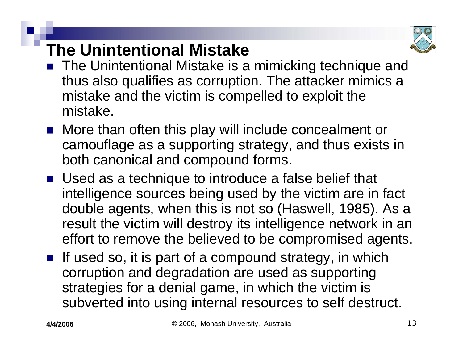

# **The Unintentional Mistake**

- The Unintentional Mistake is a mimicking technique and thus also qualifies as corruption. The attacker mimics a mistake and the victim is compelled to exploit the mistake.
- More than often this play will include concealment or camouflage as a supporting strategy, and thus exists in both canonical and compound forms.
- Used as a technique to introduce a false belief that intelligence sources being used by the victim are in fact double agents, when this is not so (Haswell, 1985). As a result the victim will destroy its intelligence network in an effort to remove the believed to be compromised agents.
- If used so, it is part of a compound strategy, in which corruption and degradation are used as supporting strategies for a denial game, in which the victim is subverted into using internal resources to self destruct.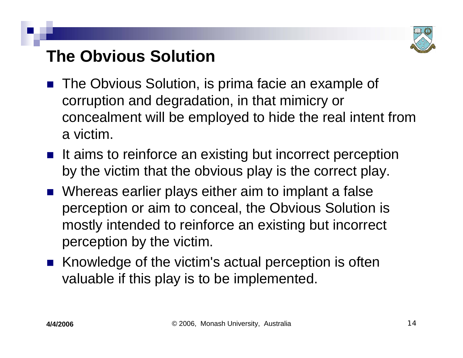

# **The Obvious Solution**

- The Obvious Solution, is prima facie an example of corruption and degradation, in that mimicry or concealment will be employed to hide the real intent from a victim.
- It aims to reinforce an existing but incorrect perception by the victim that the obvious play is the correct play.
- Whereas earlier plays either aim to implant a false perception or aim to conceal, the Obvious Solution is mostly intended to reinforce an existing but incorrect perception by the victim.
- Knowledge of the victim's actual perception is often valuable if this play is to be implemented.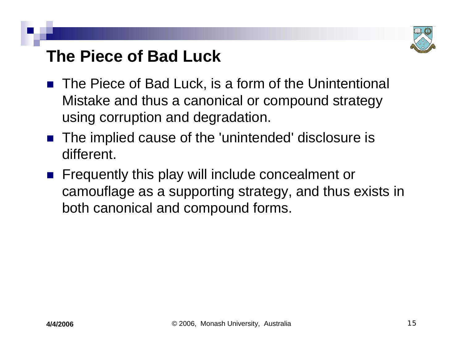

### **The Piece of Bad Luck**

- The Piece of Bad Luck, is a form of the Unintentional Mistake and thus a canonical or compound strategy using corruption and degradation.
- The implied cause of the 'unintended' disclosure is different.
- $\mathbb{R}^3$  Frequently this play will include concealment or camouflage as a supporting strategy, and thus exists in both canonical and compound forms.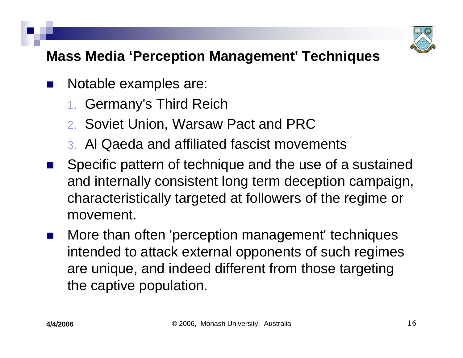

#### **Mass Media 'Perception Management' Techniques**

- $\mathbb{R}^3$  Notable examples are:
	- 1. Germany's Third Reich
	- 2. Soviet Union, Warsaw Pact and PRC
	- 3. Al Qaeda and affiliated fascist movements
- $\mathbb{R}^2$  Specific pattern of technique and the use of a sustained and internally consistent long term deception campaign, characteristically targeted at followers of the regime or movement.
- $\mathbb{R}^2$  More than often 'perception management' techniques intended to attack external opponents of such regimes are unique, and indeed different from those targeting the captive population.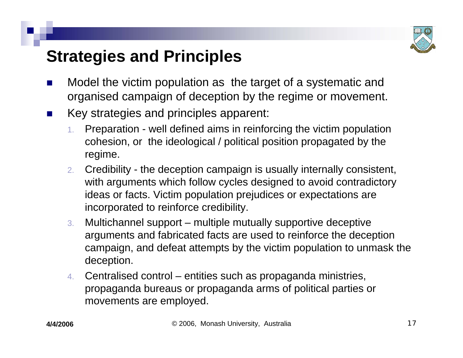

# **Strategies and Principles**

- H. Model the victim population as the target of a systematic and organised campaign of deception by the regime or movement.
- F. Key strategies and principles apparent:
	- 1. Preparation - well defined aims in reinforcing the victim population cohesion, or the ideological / political position propagated by the regime.
	- 2. Credibility the deception campaign is usually internally consistent, with arguments which follow cycles designed to avoid contradictory ideas or facts. Victim population prejudices or expectations are incorporated to reinforce credibility.
	- 3. Multichannel support – multiple mutually supportive deceptive arguments and fabricated facts are used to reinforce the deception campaign, and defeat attempts by the victim population to unmask the deception.
	- 4. Centralised control – entities such as propaganda ministries, propaganda bureaus or propaganda arms of political parties or movements are employed.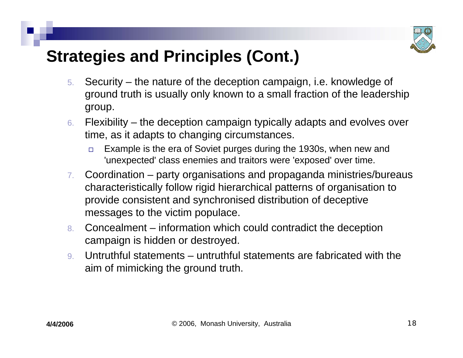

# **Strategies and Principles (Cont.)**

- 5. Security – the nature of the deception campaign, i.e. knowledge of ground truth is usually only known to a small fraction of the leadership group.
- 6. Flexibility the deception campaign typically adapts and evolves over time, as it adapts to changing circumstances.
	- $\Box$  Example is the era of Soviet purges during the 1930s, when new and 'unexpected' class enemies and traitors were 'exposed' over time.
- 7. Coordination – party organisations and propaganda ministries/bureaus characteristically follow rigid hierarchical patterns of organisation to provide consistent and synchronised distribution of deceptive messages to the victim populace.
- 8. Concealment – information which could contradict the deception campaign is hidden or destroyed.
- 9. Untruthful statements – untruthful statements are fabricated with the aim of mimicking the ground truth.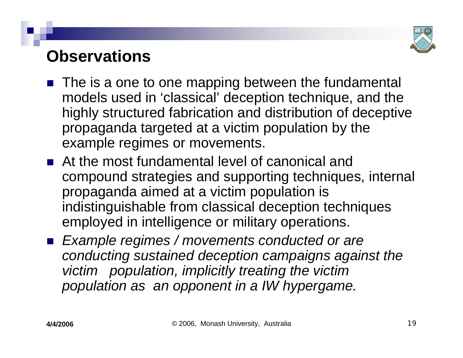

### **Observations**

- The is a one to one mapping between the fundamental models used in 'classical' deception technique, and the highly structured fabrication and distribution of deceptive propaganda targeted at a victim population by the example regimes or movements.
- **At the most fundamental level of canonical and** compound strategies and supporting techniques, internal propaganda aimed at a victim population is indistinguishable from classical deception techniques employed in intelligence or military operations.
- *Example regimes / movements conducted or are conducting sustained deception campaigns against the victim population, implicitly treating the victim population as an opponent in a IW hypergame.*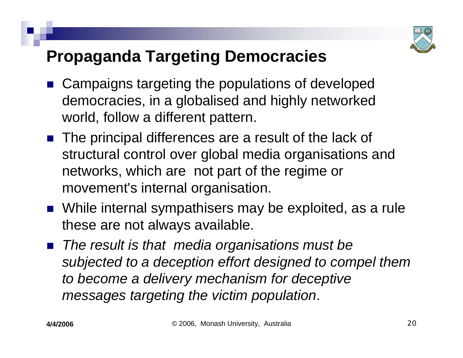

# **Propaganda Targeting Democracies**

- Campaigns targeting the populations of developed democracies, in a globalised and highly networked world, follow a different pattern.
- The principal differences are a result of the lack of structural control over global media organisations and networks, which are not part of the regime or movement's internal organisation.
- While internal sympathisers may be exploited, as a rule these are not always available.
- The result is that media organisations must be *subjected to a deception effort designed to compel them to become a delivery mechanism for deceptive messages targeting the victim population*.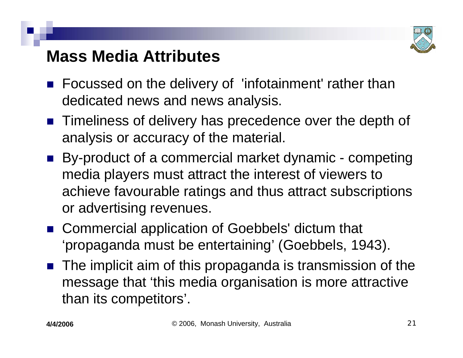

## **Mass Media Attributes**

- Focussed on the delivery of 'infotainment' rather than dedicated news and news analysis.
- **Timeliness of delivery has precedence over the depth of** analysis or accuracy of the material.
- By-product of a commercial market dynamic competing media players must attract the interest of viewers to achieve favourable ratings and thus attract subscriptions or advertising revenues.
- Commercial application of Goebbels' dictum that 'propaganda must be entertaining' (Goebbels, 1943).
- The implicit aim of this propaganda is transmission of the message that 'this media organisation is more attractive than its competitors'.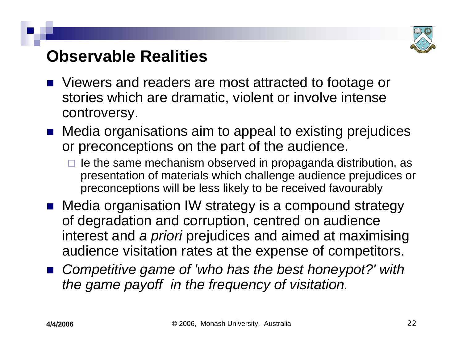

### **Observable Realities**

- Viewers and readers are most attracted to footage or stories which are dramatic, violent or involve intense controversy.
- Media organisations aim to appeal to existing prejudices or preconceptions on the part of the audience.
	- $\Box$  le the same mechanism observed in propaganda distribution, as presentation of materials which challenge audience prejudices or preconceptions will be less likely to be received favourably
- Media organisation IW strategy is a compound strategy of degradation and corruption, centred on audience interest and *a priori* prejudices and aimed at maximising audience visitation rates at the expense of competitors.
- Competitive game of 'who has the best honeypot?' with *the game payoff in the frequency of visitation.*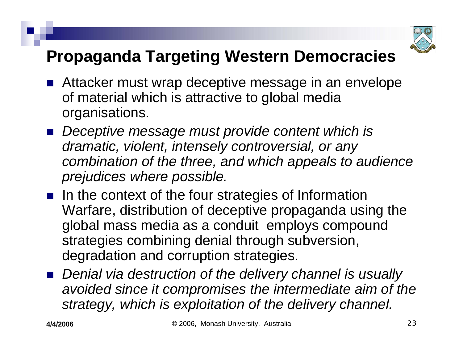

# **Propaganda Targeting Western Democracies**

- Attacker must wrap deceptive message in an envelope of material which is attractive to global media organisations.
- Deceptive message must provide content which is *dramatic, violent, intensely controversial, or any combination of the three, and which appeals to audience prejudices where possible.*
- $\blacksquare$  In the context of the four strategies of Information Warfare, distribution of deceptive propaganda using the global mass media as a conduit employs compound strategies combining denial through subversion, degradation and corruption strategies.
- Denial via destruction of the delivery channel is usually *avoided since it compromises the intermediate aim of the strategy, which is exploitation of the delivery channel.*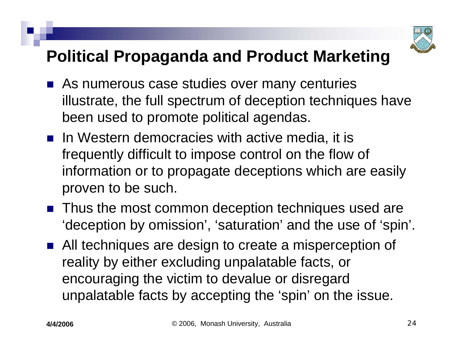

# **Political Propaganda and Product Marketing**

- As numerous case studies over many centuries illustrate, the full spectrum of deception techniques have been used to promote political agendas.
- $\blacksquare$  In Western democracies with active media, it is frequently difficult to impose control on the flow of information or to propagate deceptions which are easily proven to be such.
- Thus the most common deception techniques used are 'deception by omission', 'saturation' and the use of 'spin'.
- All techniques are design to create a misperception of reality by either excluding unpalatable facts, or encouraging the victim to devalue or disregard unpalatable facts by accepting the 'spin' on the issue.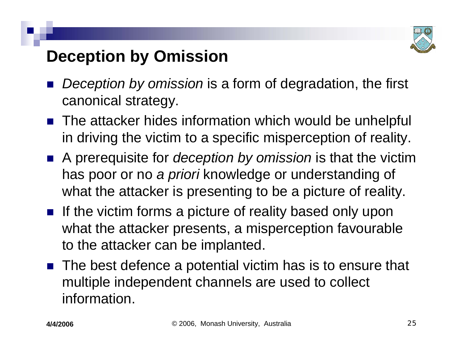

# **Deception by Omission**

- $\mathbb{R}^3$  *Deception by omission* is a form of degradation, the first canonical strategy.
- The attacker hides information which would be unhelpful in driving the victim to a specific misperception of reality.
- A prerequisite for *deception by omission* is that the victim has poor or no *a priori* knowledge or understanding of what the attacker is presenting to be a picture of reality.
- **If the victim forms a picture of reality based only upon** what the attacker presents, a misperception favourable to the attacker can be implanted.
- The best defence a potential victim has is to ensure that multiple independent channels are used to collect information.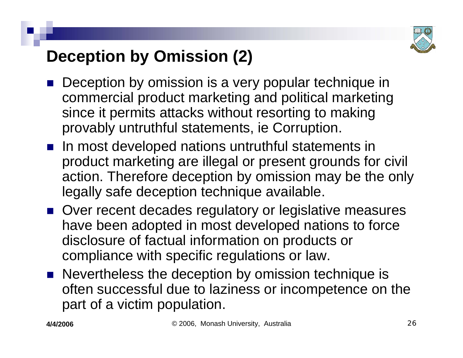

# **Deception by Omission (2)**

- Deception by omission is a very popular technique in commercial product marketing and political marketing since it permits attacks without resorting to making provably untruthful statements, ie Corruption.
- **n** In most developed nations untruthful statements in product marketing are illegal or present grounds for civil action. Therefore deception by omission may be the only legally safe deception technique available.
- Over recent decades regulatory or legislative measures have been adopted in most developed nations to force disclosure of factual information on products or compliance with specific regulations or law.
- Nevertheless the deception by omission technique is often successful due to laziness or incompetence on the part of a victim population.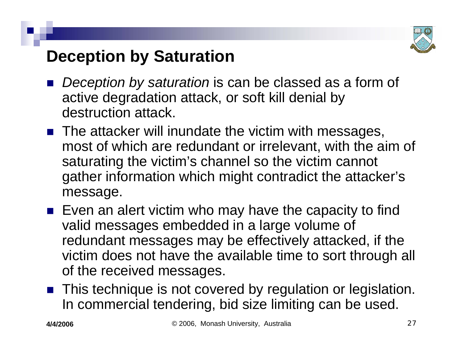

# **Deception by Saturation**

- *Deception by saturation* is can be classed as a form of active degradation attack, or soft kill denial by destruction attack.
- The attacker will inundate the victim with messages, most of which are redundant or irrelevant, with the aim of saturating the victim's channel so the victim cannot gather information which might contradict the attacker's message.
- $\blacksquare$  Even an alert victim who may have the capacity to find valid messages embedded in a large volume of redundant messages may be effectively attacked, if the victim does not have the available time to sort through all of the received messages.
- This technique is not covered by regulation or legislation. In commercial tendering, bid size limiting can be used.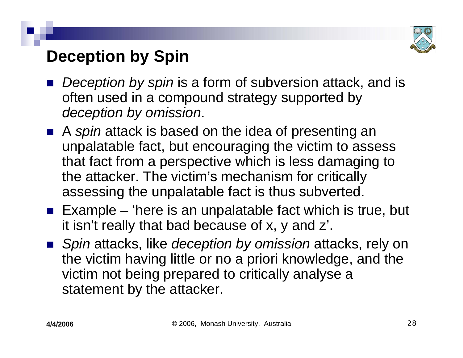

# **Deception by Spin**

- $\mathbb{R}^3$  *Deception by spin* is a form of subversion attack, and is often used in a compound strategy supported by *deception by omission*.
- A *spin* attack is based on the idea of presenting an unpalatable fact, but encouraging the victim to assess that fact from a perspective which is less damaging to the attacker. The victim's mechanism for critically assessing the unpalatable fact is thus subverted.
- **Example 'here is an unpalatable fact which is true, but** it isn't really that bad because of x, y and z'.
- Spin attacks, like *deception by omission* attacks, rely on the victim having little or no a priori knowledge, and the victim not being prepared to critically analyse <sup>a</sup> statement by the attacker.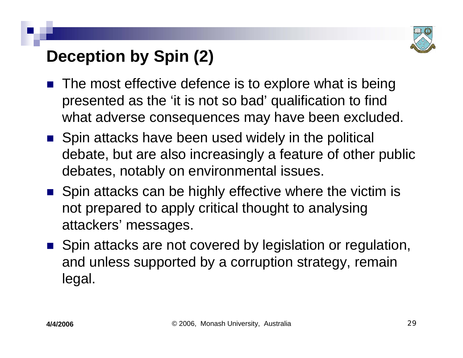

# **Deception by Spin (2)**

- $\mathbb{R}^3$  The most effective defence is to explore what is being presented as the 'it is not so bad' qualification to find what adverse consequences may have been excluded.
- Spin attacks have been used widely in the political debate, but are also increasingly a feature of other public debates, notably on environmental issues.
- Spin attacks can be highly effective where the victim is not prepared to apply critical thought to analysing attackers' messages.
- Spin attacks are not covered by legislation or regulation, and unless supported by a corruption strategy, remain legal.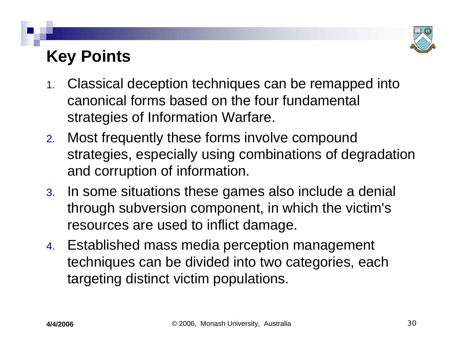

# **Key Points**

- 1. Classical deception techniques can be remapped into canonical forms based on the four fundamental strategies of Information Warfare.
- 2. Most frequently these forms involve compound strategies, especially using combinations of degradation and corruption of information.
- 3. In some situations these games also include a denial through subversion component, in which the victim's resources are used to inflict damage.
- 4. Established mass media perception management techniques can be divided into two categories, each targeting distinct victim populations.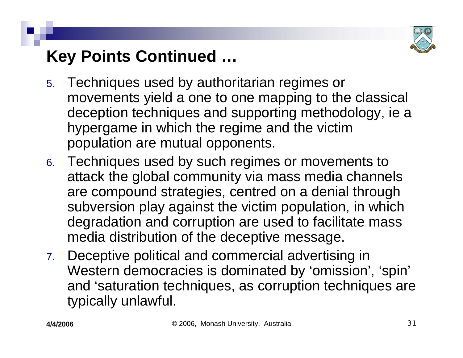

# **Key Points Continued …**

- 5. Techniques used by authoritarian regimes or movements yield a one to one mapping to the classical deception techniques and supporting methodology, ie <sup>a</sup> hypergame in which the regime and the victim population are mutual opponents.
- 6. Techniques used by such regimes or movements to attack the global community via mass media channels are compound strategies, centred on a denial through subversion play against the victim population, in which degradation and corruption are used to facilitate mass media distribution of the deceptive message.
- 7. Deceptive political and commercial advertising in Western democracies is dominated by 'omission', 'spin' and 'saturation techniques, as corruption techniques are typically unlawful.